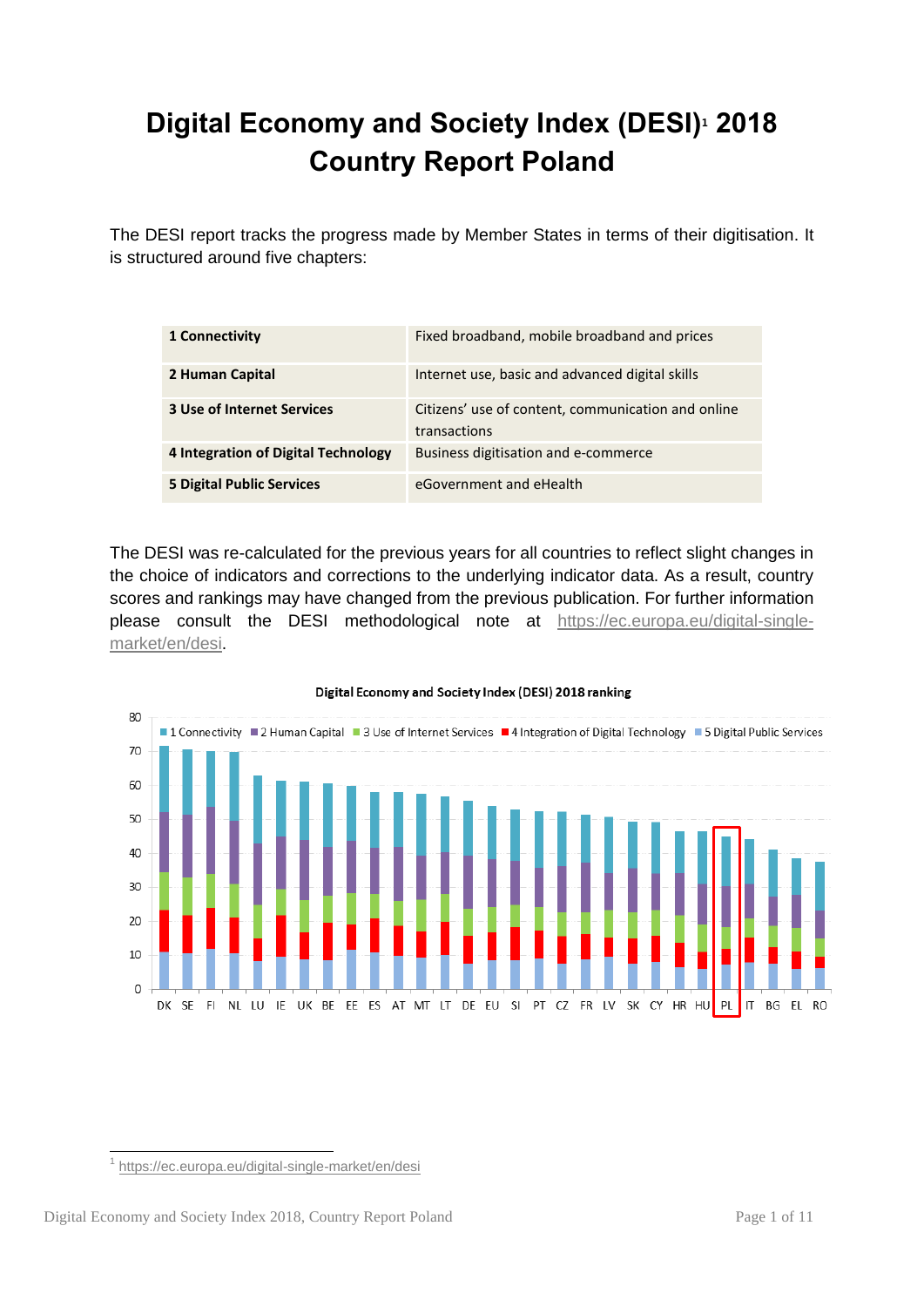# **Digital Economy and Society Index (DESI)<sup>1</sup> 2018 Country Report Poland**

The DESI report tracks the progress made by Member States in terms of their digitisation. It is structured around five chapters:

| 1 Connectivity                      | Fixed broadband, mobile broadband and prices                       |
|-------------------------------------|--------------------------------------------------------------------|
| 2 Human Capital                     | Internet use, basic and advanced digital skills                    |
| <b>3 Use of Internet Services</b>   | Citizens' use of content, communication and online<br>transactions |
| 4 Integration of Digital Technology | Business digitisation and e-commerce                               |
| <b>5 Digital Public Services</b>    | eGovernment and eHealth                                            |

The DESI was re-calculated for the previous years for all countries to reflect slight changes in the choice of indicators and corrections to the underlying indicator data. As a result, country scores and rankings may have changed from the previous publication. For further information please consult the DESI methodological note at [https://ec.europa.eu/digital-single](https://ec.europa.eu/digital-single-market/en/desi)[market/en/desi.](https://ec.europa.eu/digital-single-market/en/desi)



#### Digital Economy and Society Index (DESI) 2018 ranking

1

<sup>&</sup>lt;sup>1</sup> <https://ec.europa.eu/digital-single-market/en/desi>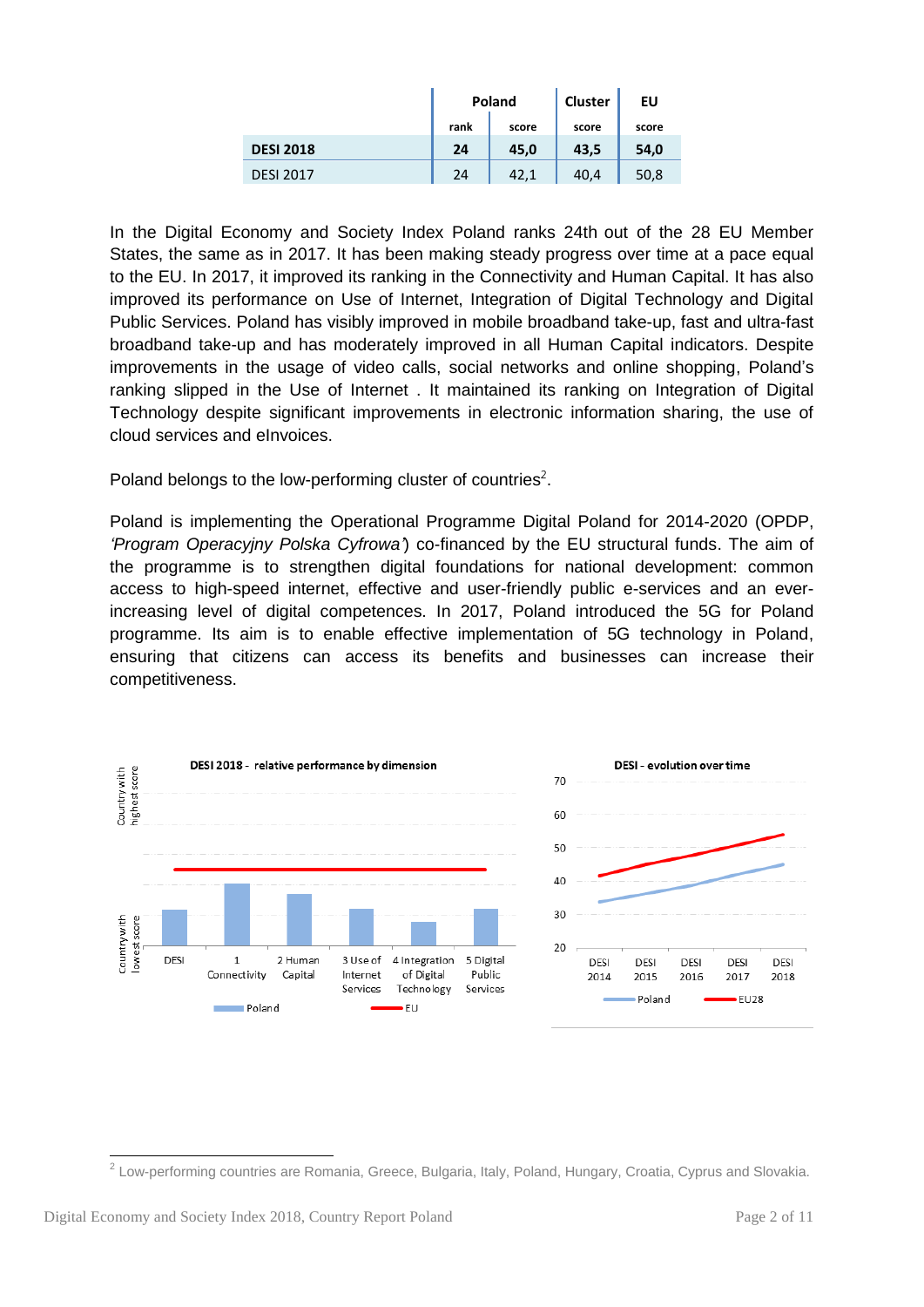|                  |      | Poland | <b>Cluster</b> | EU    |
|------------------|------|--------|----------------|-------|
|                  | rank | score  | score          | score |
| <b>DESI 2018</b> | 24   | 45,0   | 43,5           | 54,0  |
| <b>DESI 2017</b> | 24   | 42,1   | 40,4           | 50,8  |

In the Digital Economy and Society Index Poland ranks 24th out of the 28 EU Member States, the same as in 2017. It has been making steady progress over time at a pace equal to the EU. In 2017, it improved its ranking in the Connectivity and Human Capital. It has also improved its performance on Use of Internet, Integration of Digital Technology and Digital Public Services. Poland has visibly improved in mobile broadband take-up, fast and ultra-fast broadband take-up and has moderately improved in all Human Capital indicators. Despite improvements in the usage of video calls, social networks and online shopping, Poland's ranking slipped in the Use of Internet . It maintained its ranking on Integration of Digital Technology despite significant improvements in electronic information sharing, the use of cloud services and eInvoices.

Poland belongs to the low-performing cluster of countries<sup>2</sup>.

Poland is implementing the Operational Programme Digital Poland for 2014-2020 (OPDP, *'Program Operacyjny Polska Cyfrowa'*) co-financed by the EU structural funds. The aim of the programme is to strengthen digital foundations for national development: common access to high-speed internet, effective and user-friendly public e-services and an everincreasing level of digital competences. In 2017, Poland introduced the 5G for Poland programme. Its aim is to enable effective implementation of 5G technology in Poland, ensuring that citizens can access its benefits and businesses can increase their competitiveness.



<sup>&</sup>lt;u>-</u><br><sup>2</sup> Low-performing countries are Romania, Greece, Bulgaria, Italy, Poland, Hungary, Croatia, Cyprus and Slovakia.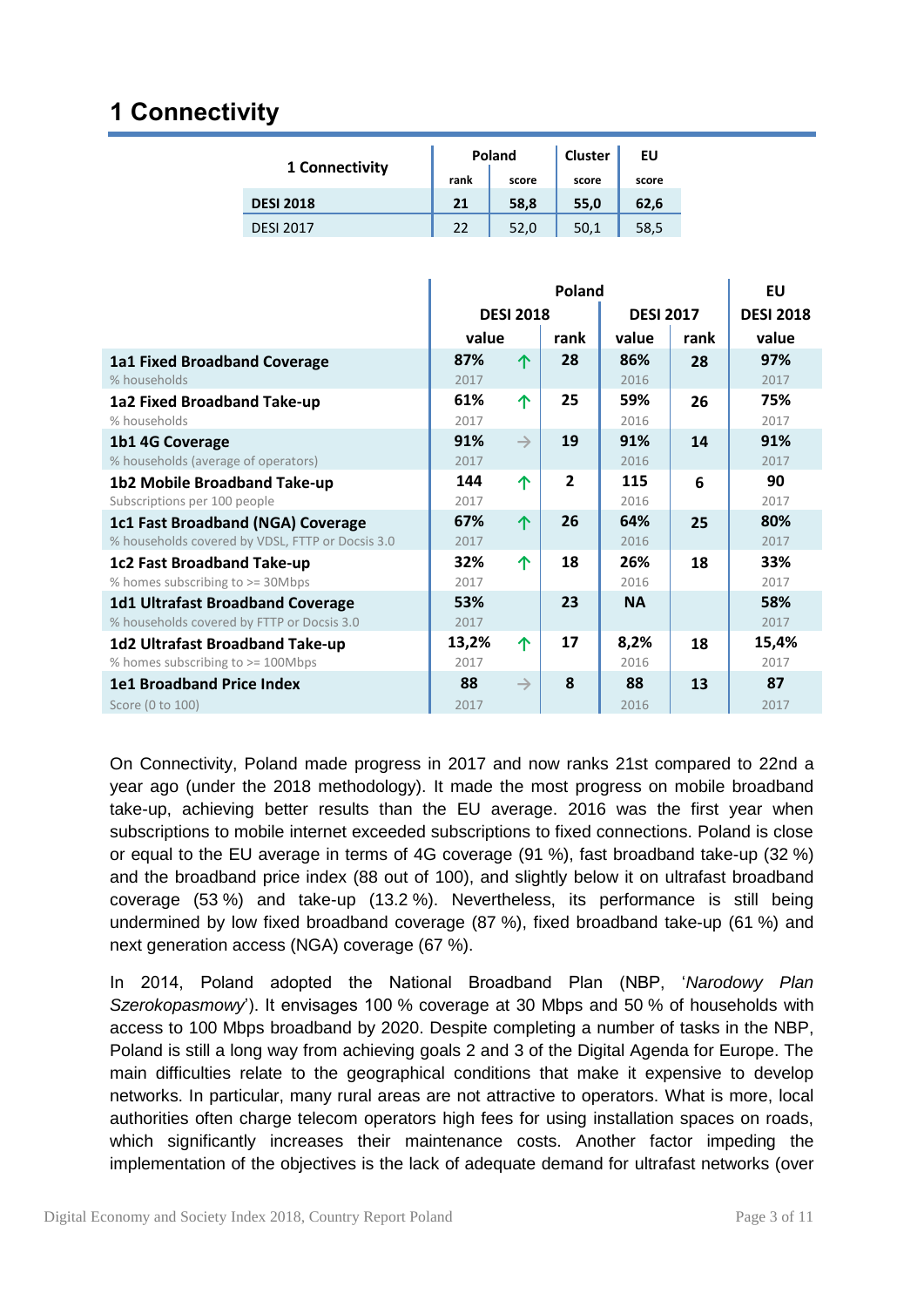## **1 Connectivity**

| 1 Connectivity   |      | Poland | Cluster | ΕU    |
|------------------|------|--------|---------|-------|
|                  | rank | score  | score   | score |
| <b>DESI 2018</b> | 21   | 58,8   | 55,0    | 62,6  |
| <b>DESI 2017</b> | 22   | 52,0   | 50.1    | 58,5  |

|                                                                                       | <b>Poland</b> |                  |                |                  |      | EU               |
|---------------------------------------------------------------------------------------|---------------|------------------|----------------|------------------|------|------------------|
|                                                                                       |               | <b>DESI 2018</b> |                | <b>DESI 2017</b> |      | <b>DESI 2018</b> |
|                                                                                       | value         |                  | rank           | value            | rank | value            |
| 1a1 Fixed Broadband Coverage<br>% households                                          | 87%<br>2017   | 个                | 28             | 86%<br>2016      | 28   | 97%<br>2017      |
| 1a2 Fixed Broadband Take-up<br>% households                                           | 61%<br>2017   | 个                | 25             | 59%<br>2016      | 26   | 75%<br>2017      |
| 1b1 4G Coverage<br>% households (average of operators)                                | 91%<br>2017   | $\rightarrow$    | 19             | 91%<br>2016      | 14   | 91%<br>2017      |
| 1b2 Mobile Broadband Take-up<br>Subscriptions per 100 people                          | 144<br>2017   | 个                | $\overline{2}$ | 115<br>2016      | 6    | 90<br>2017       |
| 1c1 Fast Broadband (NGA) Coverage<br>% households covered by VDSL, FTTP or Docsis 3.0 | 67%<br>2017   | 个                | 26             | 64%<br>2016      | 25   | 80%<br>2017      |
| <b>1c2 Fast Broadband Take-up</b><br>% homes subscribing to >= 30Mbps                 | 32%<br>2017   | 个                | 18             | 26%<br>2016      | 18   | 33%<br>2017      |
| <b>1d1 Ultrafast Broadband Coverage</b><br>% households covered by FTTP or Docsis 3.0 | 53%<br>2017   |                  | 23             | <b>NA</b>        |      | 58%<br>2017      |
| 1d2 Ultrafast Broadband Take-up<br>% homes subscribing to >= 100Mbps                  | 13,2%<br>2017 | 个                | 17             | 8,2%<br>2016     | 18   | 15,4%<br>2017    |
| <b>1e1 Broadband Price Index</b><br>Score (0 to 100)                                  | 88<br>2017    | $\rightarrow$    | 8              | 88<br>2016       | 13   | 87<br>2017       |

On Connectivity, Poland made progress in 2017 and now ranks 21st compared to 22nd a year ago (under the 2018 methodology). It made the most progress on mobile broadband take-up, achieving better results than the EU average. 2016 was the first year when subscriptions to mobile internet exceeded subscriptions to fixed connections. Poland is close or equal to the EU average in terms of 4G coverage (91 %), fast broadband take-up (32 %) and the broadband price index (88 out of 100), and slightly below it on ultrafast broadband coverage (53 %) and take-up (13.2 %). Nevertheless, its performance is still being undermined by low fixed broadband coverage (87 %), fixed broadband take-up (61 %) and next generation access (NGA) coverage (67 %).

In 2014, Poland adopted the National Broadband Plan (NBP, '*Narodowy Plan Szerokopasmowy*'). It envisages 100 % coverage at 30 Mbps and 50 % of households with access to 100 Mbps broadband by 2020. Despite completing a number of tasks in the NBP, Poland is still a long way from achieving goals 2 and 3 of the Digital Agenda for Europe. The main difficulties relate to the geographical conditions that make it expensive to develop networks. In particular, many rural areas are not attractive to operators. What is more, local authorities often charge telecom operators high fees for using installation spaces on roads, which significantly increases their maintenance costs. Another factor impeding the implementation of the objectives is the lack of adequate demand for ultrafast networks (over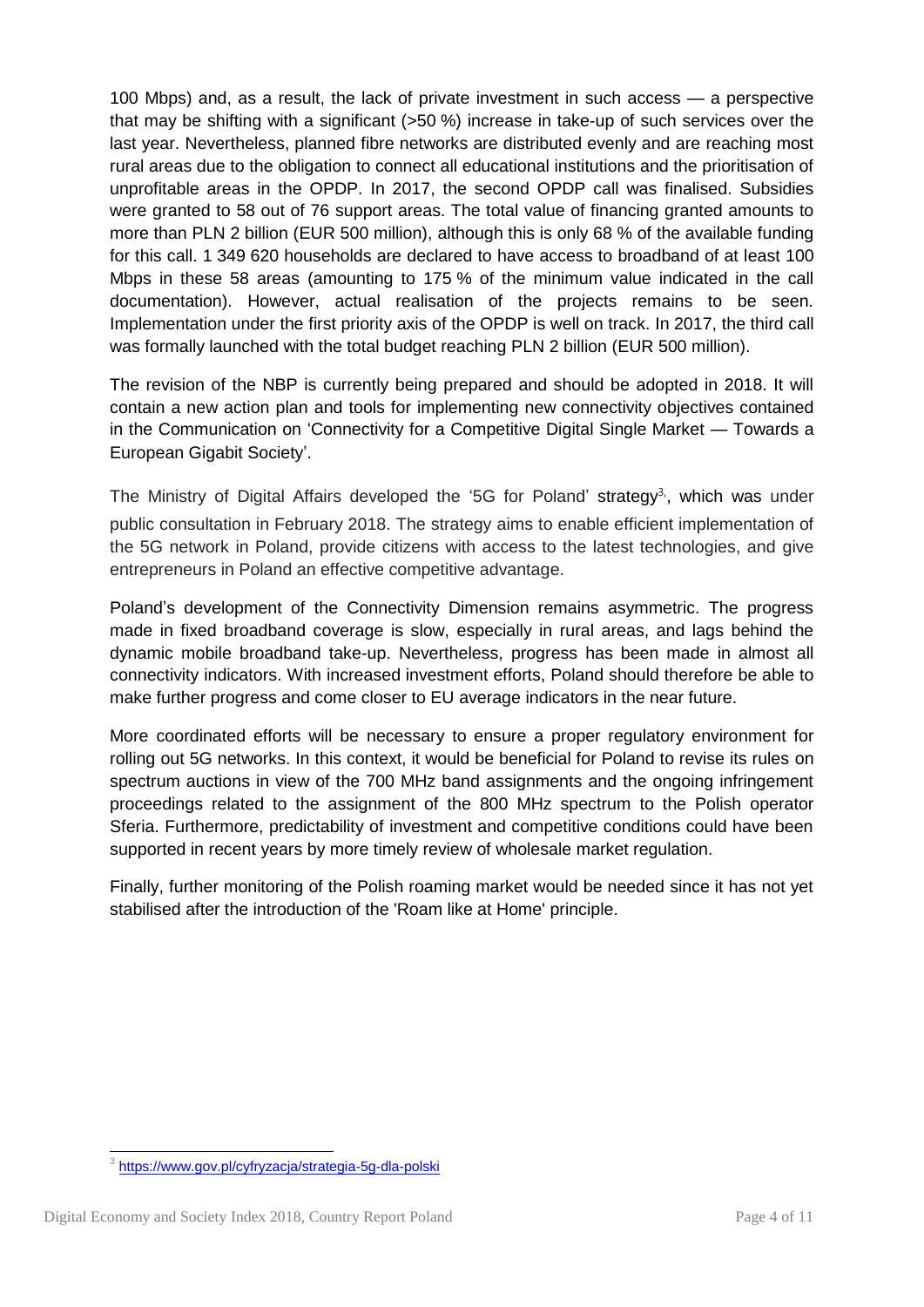100 Mbps) and, as a result, the lack of private investment in such access — a perspective that may be shifting with a significant (>50 %) increase in take-up of such services over the last year. Nevertheless, planned fibre networks are distributed evenly and are reaching most rural areas due to the obligation to connect all educational institutions and the prioritisation of unprofitable areas in the OPDP. In 2017, the second OPDP call was finalised. Subsidies were granted to 58 out of 76 support areas. The total value of financing granted amounts to more than PLN 2 billion (EUR 500 million), although this is only 68 % of the available funding for this call. 1 349 620 households are declared to have access to broadband of at least 100 Mbps in these 58 areas (amounting to 175 % of the minimum value indicated in the call documentation). However, actual realisation of the projects remains to be seen. Implementation under the first priority axis of the OPDP is well on track. In 2017, the third call was formally launched with the total budget reaching PLN 2 billion (EUR 500 million).

The revision of the NBP is currently being prepared and should be adopted in 2018. It will contain a new action plan and tools for implementing new connectivity objectives contained in the Communication on 'Connectivity for a Competitive Digital Single Market — Towards a European Gigabit Society'.

The Ministry of Digital Affairs developed the '5G for Poland' strategy<sup>3</sup>, which was under public consultation in February 2018. The strategy aims to enable efficient implementation of the 5G network in Poland, provide citizens with access to the latest technologies, and give entrepreneurs in Poland an effective competitive advantage.

Poland's development of the Connectivity Dimension remains asymmetric. The progress made in fixed broadband coverage is slow, especially in rural areas, and lags behind the dynamic mobile broadband take-up. Nevertheless, progress has been made in almost all connectivity indicators. With increased investment efforts, Poland should therefore be able to make further progress and come closer to EU average indicators in the near future.

More coordinated efforts will be necessary to ensure a proper regulatory environment for rolling out 5G networks. In this context, it would be beneficial for Poland to revise its rules on spectrum auctions in view of the 700 MHz band assignments and the ongoing infringement proceedings related to the assignment of the 800 MHz spectrum to the Polish operator Sferia. Furthermore, predictability of investment and competitive conditions could have been supported in recent years by more timely review of wholesale market regulation.

Finally, further monitoring of the Polish roaming market would be needed since it has not yet stabilised after the introduction of the 'Roam like at Home' principle.

 3 <https://www.gov.pl/cyfryzacja/strategia-5g-dla-polski>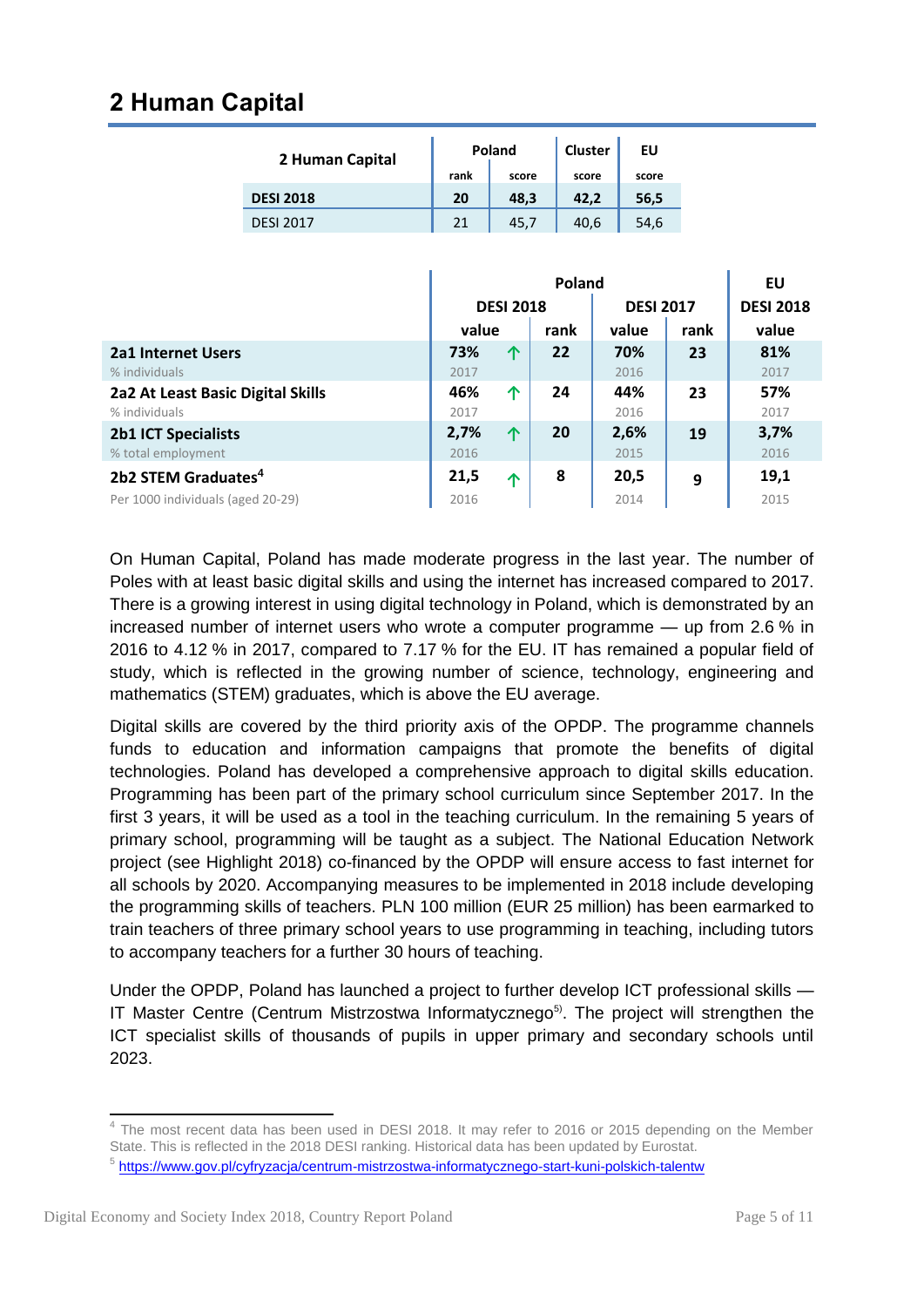#### **2 Human Capital**

| 2 Human Capital  |      | Poland | Cluster | EU    |
|------------------|------|--------|---------|-------|
|                  | rank | score  | score   | score |
| <b>DESI 2018</b> | 20   | 48.3   | 42.2    | 56,5  |
| <b>DESI 2017</b> | 21   | 45.7   | 40.6    | 54,6  |

|                                   | Poland |                  |      |                  | EU   |                  |
|-----------------------------------|--------|------------------|------|------------------|------|------------------|
|                                   |        | <b>DESI 2018</b> |      | <b>DESI 2017</b> |      | <b>DESI 2018</b> |
|                                   | value  |                  | rank | value            | rank | value            |
| <b>2a1 Internet Users</b>         | 73%    | 个                | 22   | 70%              | 23   | 81%              |
| % individuals                     | 2017   |                  |      | 2016             |      | 2017             |
| 2a2 At Least Basic Digital Skills | 46%    | 个                | 24   | 44%              | 23   | 57%              |
| % individuals                     | 2017   |                  |      | 2016             |      | 2017             |
| <b>2b1 ICT Specialists</b>        | 2,7%   | 个                | 20   | 2,6%             | 19   | 3,7%             |
| % total employment                | 2016   |                  |      | 2015             |      | 2016             |
| 2b2 STEM Graduates <sup>4</sup>   | 21,5   | ∧                | 8    | 20,5             | 9    | 19,1             |
| Per 1000 individuals (aged 20-29) | 2016   |                  |      | 2014             |      | 2015             |

On Human Capital, Poland has made moderate progress in the last year. The number of Poles with at least basic digital skills and using the internet has increased compared to 2017. There is a growing interest in using digital technology in Poland, which is demonstrated by an increased number of internet users who wrote a computer programme — up from 2.6 % in 2016 to 4.12 % in 2017, compared to 7.17 % for the EU. IT has remained a popular field of study, which is reflected in the growing number of science, technology, engineering and mathematics (STEM) graduates, which is above the EU average.

Digital skills are covered by the third priority axis of the OPDP. The programme channels funds to education and information campaigns that promote the benefits of digital technologies. Poland has developed a comprehensive approach to digital skills education. Programming has been part of the primary school curriculum since September 2017. In the first 3 years, it will be used as a tool in the teaching curriculum. In the remaining 5 years of primary school, programming will be taught as a subject. The National Education Network project (see Highlight 2018) co-financed by the OPDP will ensure access to fast internet for all schools by 2020. Accompanying measures to be implemented in 2018 include developing the programming skills of teachers. PLN 100 million (EUR 25 million) has been earmarked to train teachers of three primary school years to use programming in teaching, including tutors to accompany teachers for a further 30 hours of teaching.

Under the OPDP, Poland has launched a project to further develop ICT professional skills — IT Master Centre (Centrum Mistrzostwa Informatycznego<sup>5)</sup>. The project will strengthen the ICT specialist skills of thousands of pupils in upper primary and secondary schools until 2023.

The most recent data has been used in DESI 2018. It may refer to 2016 or 2015 depending on the Member State. This is reflected in the 2018 DESI ranking. Historical data has been updated by Eurostat.

<sup>&</sup>lt;sup>5</sup> <https://www.gov.pl/cyfryzacja/centrum-mistrzostwa-informatycznego-start-kuni-polskich-talentw>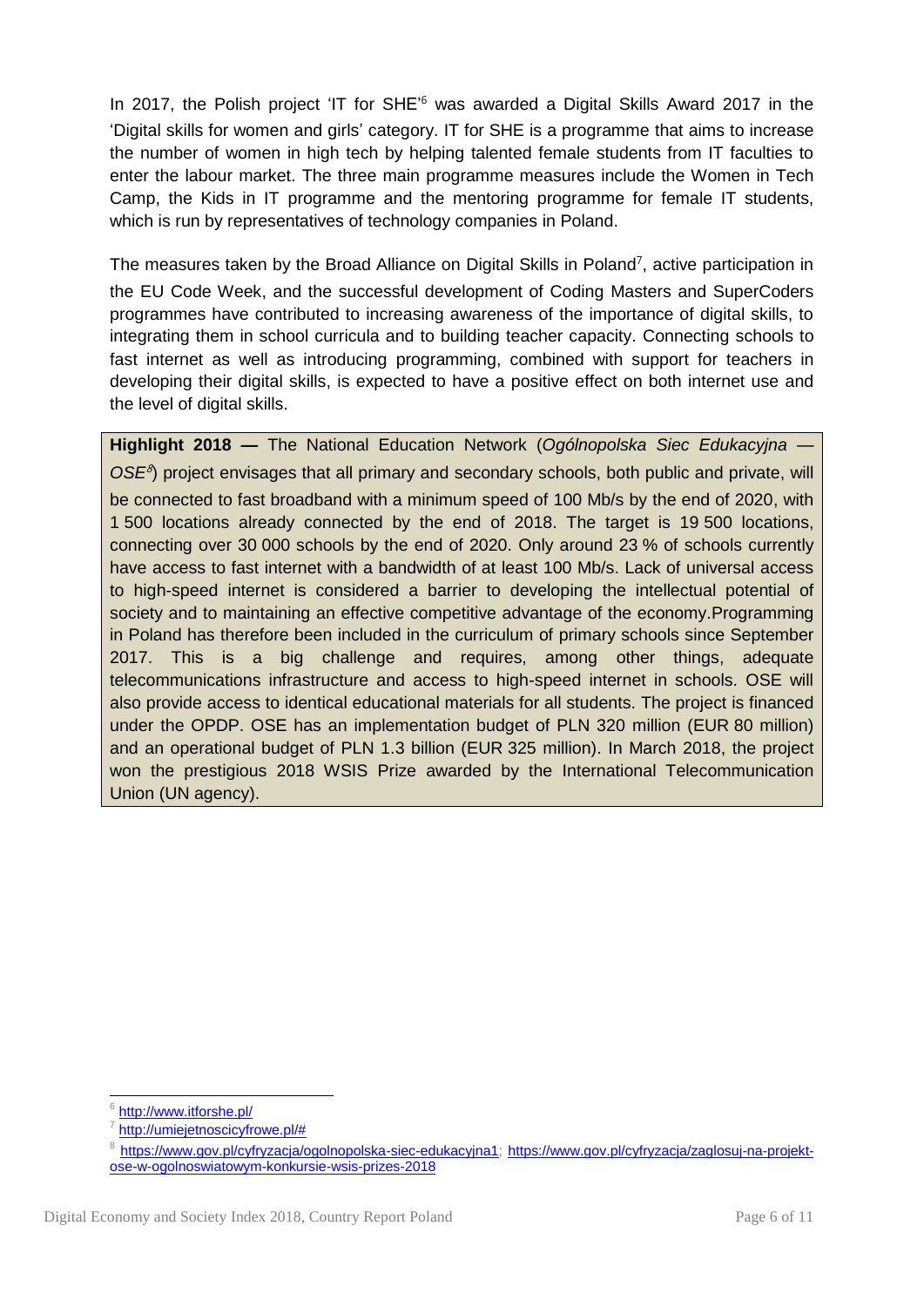In 2017, the Polish project 'IT for SHE<sup>'6</sup> was awarded a Digital Skills Award 2017 in the 'Digital skills for women and girls' category. IT for SHE is a programme that aims to increase the number of women in high tech by helping talented female students from IT faculties to enter the labour market. The three main programme measures include the Women in Tech Camp, the Kids in IT programme and the mentoring programme for female IT students, which is run by representatives of technology companies in Poland.

The measures taken by the Broad Alliance on Digital Skills in Poland<sup>7</sup>, active participation in the EU Code Week, and the successful development of Coding Masters and SuperCoders programmes have contributed to increasing awareness of the importance of digital skills, to integrating them in school curricula and to building teacher capacity. Connecting schools to fast internet as well as introducing programming, combined with support for teachers in developing their digital skills, is expected to have a positive effect on both internet use and the level of digital skills.

**Highlight 2018 —** The National Education Network (*Ogólnopolska Siec Edukacyjna —* OSE<sup>8</sup>) project envisages that all primary and secondary schools, both public and private, will be connected to fast broadband with a minimum speed of 100 Mb/s by the end of 2020, with 1 500 locations already connected by the end of 2018. The target is 19 500 locations, connecting over 30 000 schools by the end of 2020. Only around 23 % of schools currently have access to fast internet with a bandwidth of at least 100 Mb/s. Lack of universal access to high-speed internet is considered a barrier to developing the intellectual potential of society and to maintaining an effective competitive advantage of the economy.Programming in Poland has therefore been included in the curriculum of primary schools since September 2017. This is a big challenge and requires, among other things, adequate telecommunications infrastructure and access to high-speed internet in schools. OSE will also provide access to identical educational materials for all students. The project is financed under the OPDP. OSE has an implementation budget of PLN 320 million (EUR 80 million) and an operational budget of PLN 1.3 billion (EUR 325 million). In March 2018, the project won the prestigious 2018 WSIS Prize awarded by the International Telecommunication Union (UN agency).

<sup>1</sup> 6 <http://www.itforshe.pl/>

<sup>7</sup> [http://umiejetnoscicyfrowe.pl/#](http://umiejetnoscicyfrowe.pl/)

<sup>&</sup>lt;sup>8</sup> [https://www.gov.pl/cyfryzacja/ogolnopolska-siec-edukacyjna1;](https://www.gov.pl/cyfryzacja/ogolnopolska-siec-edukacyjna1) [https://www.gov.pl/cyfryzacja/zaglosuj-na-projekt](https://www.gov.pl/cyfryzacja/zaglosuj-na-projekt-ose-w-ogolnoswiatowym-konkursie-wsis-prizes-2018)[ose-w-ogolnoswiatowym-konkursie-wsis-prizes-2018](https://www.gov.pl/cyfryzacja/zaglosuj-na-projekt-ose-w-ogolnoswiatowym-konkursie-wsis-prizes-2018)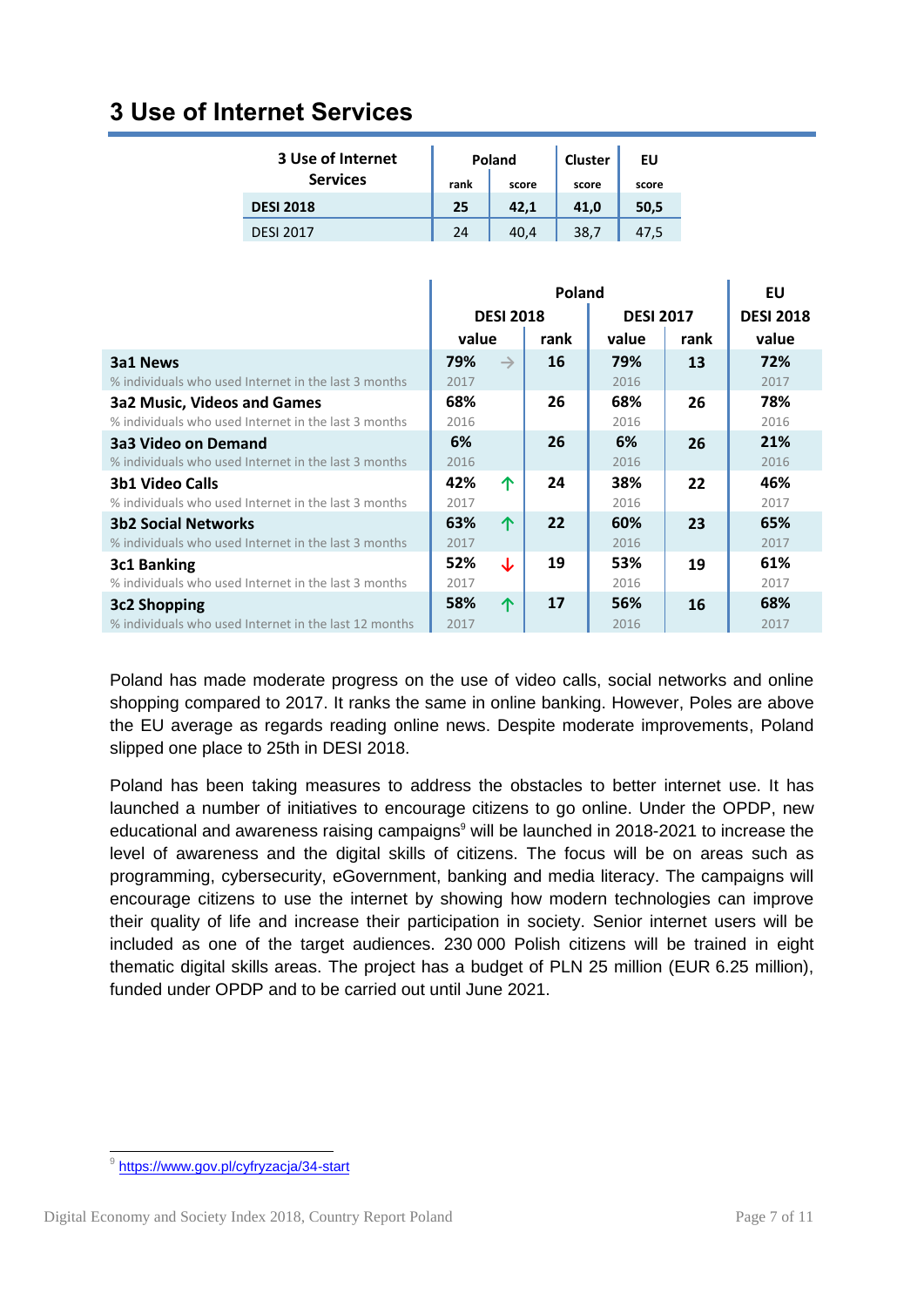#### **3 Use of Internet Services**

| 3 Use of Internet |      | Poland | <b>Cluster</b> | EU    |
|-------------------|------|--------|----------------|-------|
| <b>Services</b>   | rank | score  | score          | score |
| <b>DESI 2018</b>  | 25   | 42.1   | 41,0           | 50,5  |
| <b>DESI 2017</b>  | 24   | 40,4   | 38.7           | 47.5  |

|                                                       | Poland |                  |      |                  | EU   |                  |
|-------------------------------------------------------|--------|------------------|------|------------------|------|------------------|
|                                                       |        | <b>DESI 2018</b> |      | <b>DESI 2017</b> |      | <b>DESI 2018</b> |
|                                                       | value  |                  | rank | value            | rank | value            |
| 3a1 News                                              | 79%    | $\rightarrow$    | 16   | 79%              | 13   | 72%              |
| % individuals who used Internet in the last 3 months  | 2017   |                  |      | 2016             |      | 2017             |
| <b>3a2 Music, Videos and Games</b>                    | 68%    |                  | 26   | 68%              | 26   | 78%              |
| % individuals who used Internet in the last 3 months  | 2016   |                  |      | 2016             |      | 2016             |
| 3a3 Video on Demand                                   | 6%     |                  | 26   | 6%               | 26   | 21%              |
| % individuals who used Internet in the last 3 months  | 2016   |                  |      | 2016             |      | 2016             |
| <b>3b1 Video Calls</b>                                | 42%    | 个                | 24   | 38%              | 22   | 46%              |
| % individuals who used Internet in the last 3 months  | 2017   |                  |      | 2016             |      | 2017             |
| <b>3b2 Social Networks</b>                            | 63%    | 个                | 22   | 60%              | 23   | 65%              |
| % individuals who used Internet in the last 3 months  | 2017   |                  |      | 2016             |      | 2017             |
| 3c1 Banking                                           | 52%    | ↓                | 19   | 53%              | 19   | 61%              |
| % individuals who used Internet in the last 3 months  | 2017   |                  |      | 2016             |      | 2017             |
| 3c2 Shopping                                          | 58%    | 个                | 17   | 56%              | 16   | 68%              |
| % individuals who used Internet in the last 12 months | 2017   |                  |      | 2016             |      | 2017             |

Poland has made moderate progress on the use of video calls, social networks and online shopping compared to 2017. It ranks the same in online banking. However, Poles are above the EU average as regards reading online news. Despite moderate improvements, Poland slipped one place to 25th in DESI 2018.

Poland has been taking measures to address the obstacles to better internet use. It has launched a number of initiatives to encourage citizens to go online. Under the OPDP, new educational and awareness raising campaigns<sup>9</sup> will be launched in 2018-2021 to increase the level of awareness and the digital skills of citizens. The focus will be on areas such as programming, cybersecurity, eGovernment, banking and media literacy. The campaigns will encourage citizens to use the internet by showing how modern technologies can improve their quality of life and increase their participation in society. Senior internet users will be included as one of the target audiences. 230 000 Polish citizens will be trained in eight thematic digital skills areas. The project has a budget of PLN 25 million (EUR 6.25 million), funded under OPDP and to be carried out until June 2021.

 9 <https://www.gov.pl/cyfryzacja/34-start>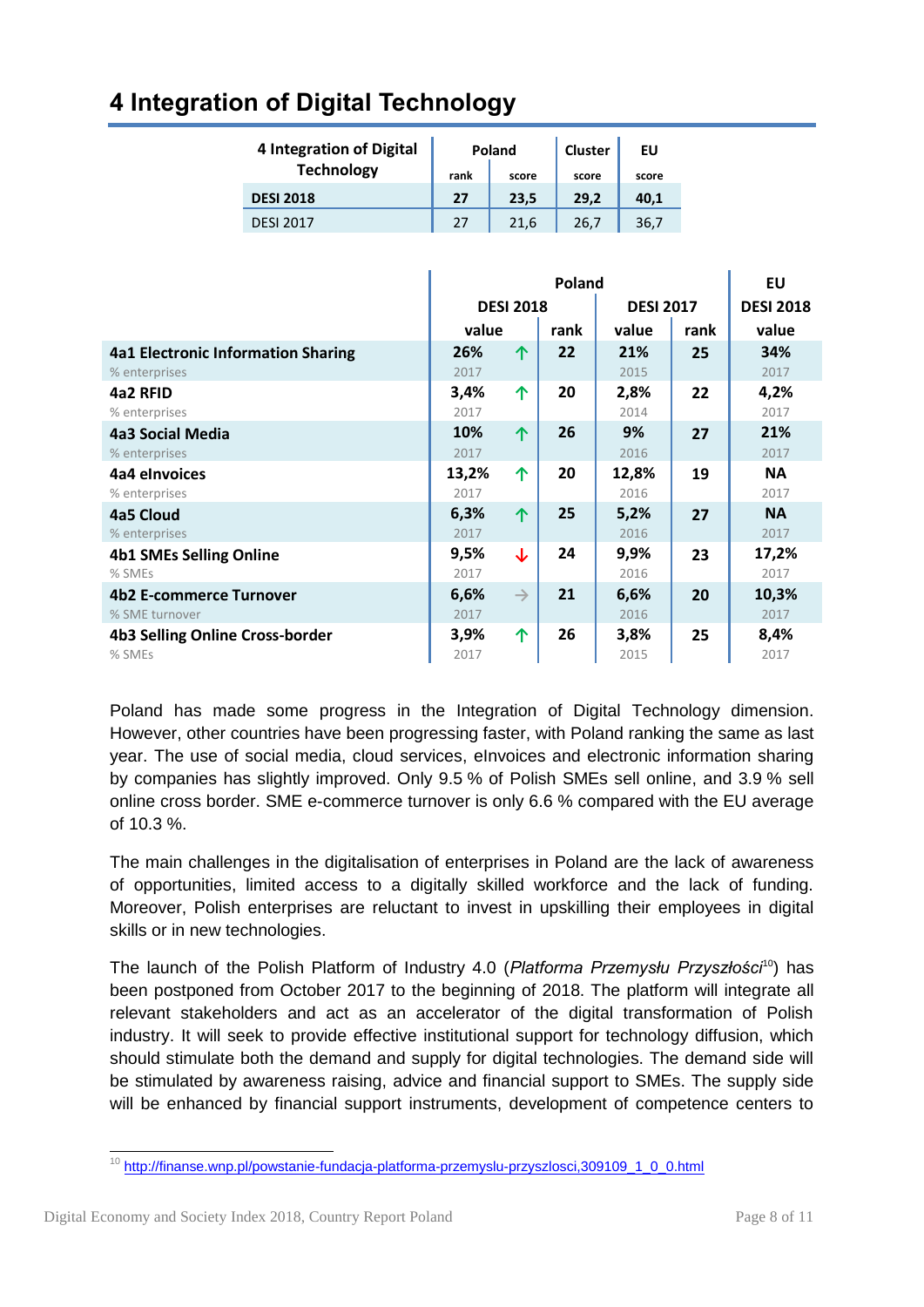| <b>4 Integration of Digital</b> |      | Poland | <b>Cluster</b> | EU    |
|---------------------------------|------|--------|----------------|-------|
| <b>Technology</b>               | rank | score  | score          | score |
| <b>DESI 2018</b>                | 27   | 23.5   | 29.2           | 40,1  |
| <b>DESI 2017</b>                | 27   | 21,6   | 26.7           | 36,7  |

#### **4 Integration of Digital Technology**

|                                    | Poland |                  |      |                  | EU   |                  |
|------------------------------------|--------|------------------|------|------------------|------|------------------|
|                                    |        | <b>DESI 2018</b> |      | <b>DESI 2017</b> |      | <b>DESI 2018</b> |
|                                    | value  |                  | rank | value            | rank | value            |
| 4a1 Electronic Information Sharing | 26%    | 个                | 22   | 21%              | 25   | 34%              |
| % enterprises                      | 2017   |                  |      | 2015             |      | 2017             |
| 4a2 RFID                           | 3,4%   | 个                | 20   | 2,8%             | 22   | 4,2%             |
| % enterprises                      | 2017   |                  |      | 2014             |      | 2017             |
| 4a3 Social Media                   | 10%    | 个                | 26   | 9%               | 27   | 21%              |
| % enterprises                      | 2017   |                  |      | 2016             |      | 2017             |
| 4a4 elnvoices                      | 13,2%  | 个                | 20   | 12,8%            | 19   | <b>NA</b>        |
| % enterprises                      | 2017   |                  |      | 2016             |      | 2017             |
| 4a5 Cloud                          | 6,3%   | 个                | 25   | 5,2%             | 27   | <b>NA</b>        |
| % enterprises                      | 2017   |                  |      | 2016             |      | 2017             |
| <b>4b1 SMEs Selling Online</b>     | 9,5%   | ↓                | 24   | 9,9%             | 23   | 17,2%            |
| % SMEs                             | 2017   |                  |      | 2016             |      | 2017             |
| <b>4b2 E-commerce Turnover</b>     | 6,6%   | $\rightarrow$    | 21   | 6,6%             | 20   | 10,3%            |
| % SME turnover                     | 2017   |                  |      | 2016             |      | 2017             |
| 4b3 Selling Online Cross-border    | 3,9%   | 个                | 26   | 3,8%             | 25   | 8,4%             |
| % SMEs                             | 2017   |                  |      | 2015             |      | 2017             |

Poland has made some progress in the Integration of Digital Technology dimension. However, other countries have been progressing faster, with Poland ranking the same as last year. The use of social media, cloud services, eInvoices and electronic information sharing by companies has slightly improved. Only 9.5 % of Polish SMEs sell online, and 3.9 % sell online cross border. SME e-commerce turnover is only 6.6 % compared with the EU average of 10.3 %.

The main challenges in the digitalisation of enterprises in Poland are the lack of awareness of opportunities, limited access to a digitally skilled workforce and the lack of funding. Moreover, Polish enterprises are reluctant to invest in upskilling their employees in digital skills or in new technologies.

The launch of the Polish Platform of Industry 4.0 (*Platforma Przemysłu Przyszłości*<sup>10</sup>) has been postponed from October 2017 to the beginning of 2018. The platform will integrate all relevant stakeholders and act as an accelerator of the digital transformation of Polish industry. It will seek to provide effective institutional support for technology diffusion, which should stimulate both the demand and supply for digital technologies. The demand side will be stimulated by awareness raising, advice and financial support to SMEs. The supply side will be enhanced by financial support instruments, development of competence centers to

<sup>1</sup> <sup>10</sup> [http://finanse.wnp.pl/powstanie-fundacja-platforma-przemyslu-przyszlosci,309109\\_1\\_0\\_0.html](http://finanse.wnp.pl/powstanie-fundacja-platforma-przemyslu-przyszlosci,309109_1_0_0.html)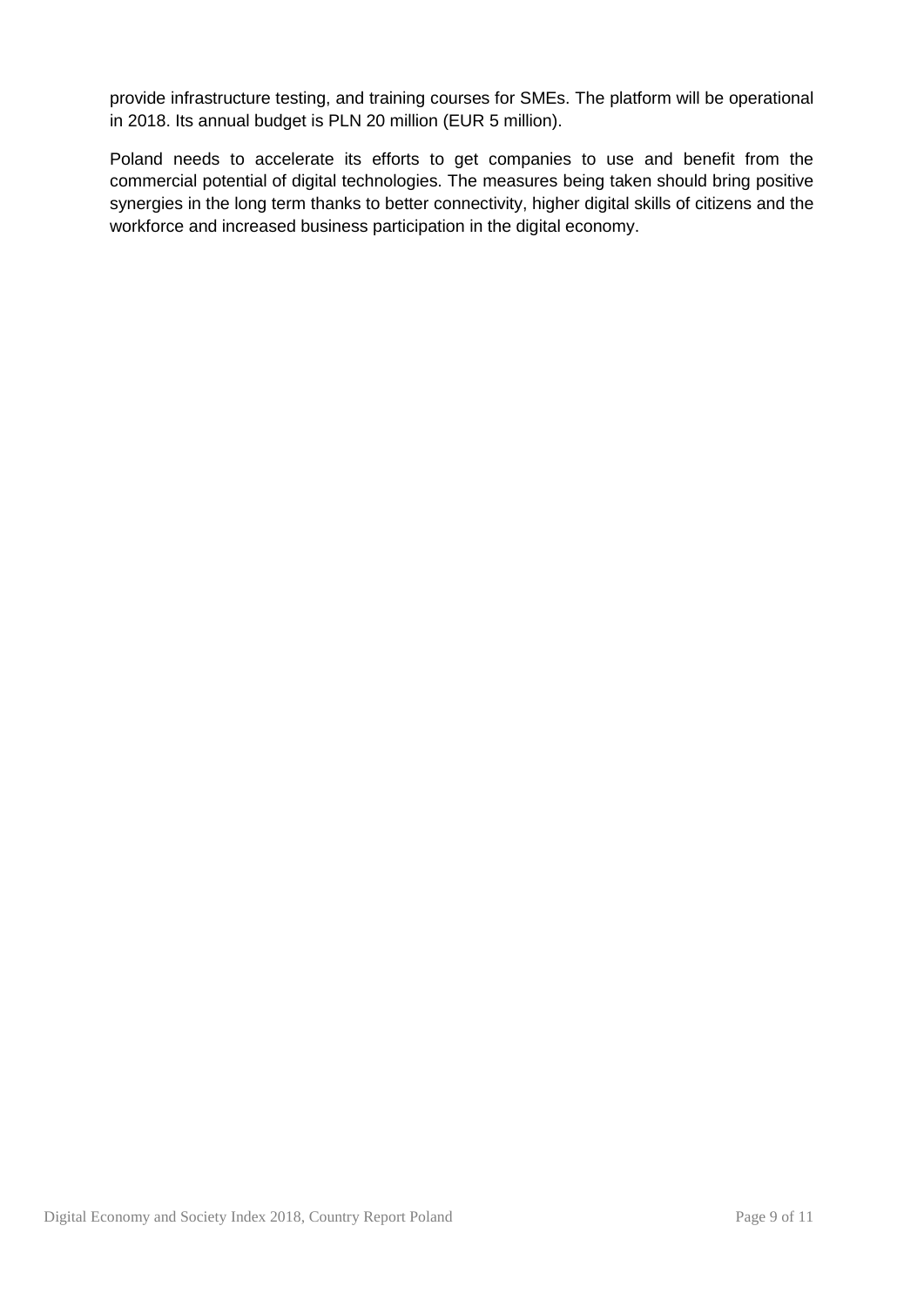provide infrastructure testing, and training courses for SMEs. The platform will be operational in 2018. Its annual budget is PLN 20 million (EUR 5 million).

Poland needs to accelerate its efforts to get companies to use and benefit from the commercial potential of digital technologies. The measures being taken should bring positive synergies in the long term thanks to better connectivity, higher digital skills of citizens and the workforce and increased business participation in the digital economy.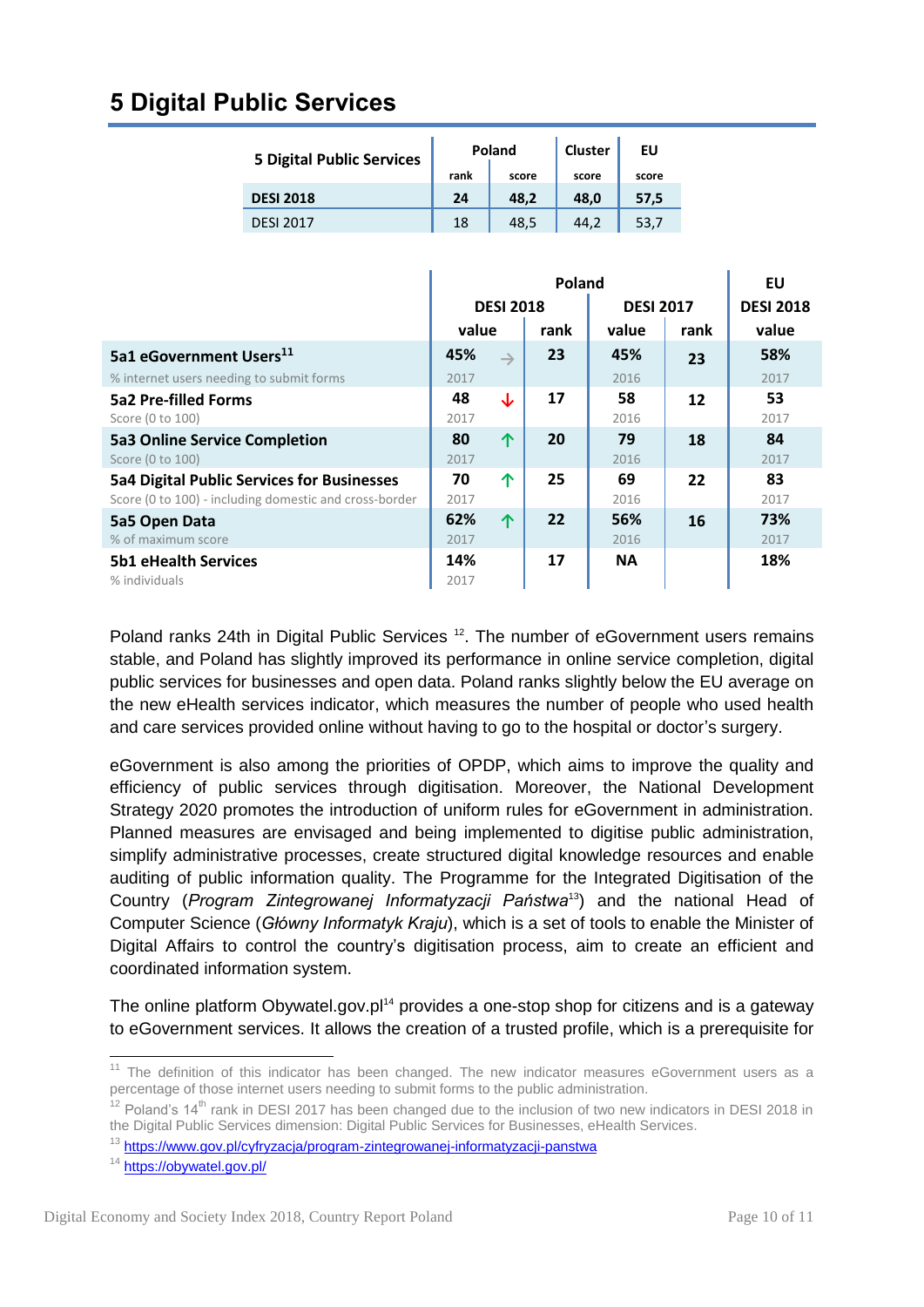### **5 Digital Public Services**

| <b>5 Digital Public Services</b> |      | Poland | <b>Cluster</b> | ΕU    |
|----------------------------------|------|--------|----------------|-------|
|                                  | rank | score  | score          | score |
| <b>DESI 2018</b>                 | 24   | 48.2   | 48.0           | 57,5  |
| <b>DESI 2017</b>                 | 18   | 48.5   | 44.2           | 53.7  |

|                                                        | <b>Poland</b> |                  |      |                  | EU               |       |
|--------------------------------------------------------|---------------|------------------|------|------------------|------------------|-------|
|                                                        |               | <b>DESI 2018</b> |      | <b>DESI 2017</b> | <b>DESI 2018</b> |       |
|                                                        | value         |                  | rank | value            | rank             | value |
| 5a1 eGovernment Users <sup>11</sup>                    | 45%           | $\rightarrow$    | 23   | 45%              | 23               | 58%   |
| % internet users needing to submit forms               | 2017          |                  |      | 2016             |                  | 2017  |
| <b>5a2 Pre-filled Forms</b>                            | 48            | ↓                | 17   | 58               | 12               | 53    |
| Score (0 to 100)                                       | 2017          |                  |      | 2016             |                  | 2017  |
| <b>5a3 Online Service Completion</b>                   | 80            | 个                | 20   | 79               | 18               | 84    |
| Score (0 to 100)                                       | 2017          |                  |      | 2016             |                  | 2017  |
| <b>5a4 Digital Public Services for Businesses</b>      | 70            | 个                | 25   | 69               | 22               | 83    |
| Score (0 to 100) - including domestic and cross-border | 2017          |                  |      | 2016             |                  | 2017  |
| 5a5 Open Data                                          | 62%           | 个                | 22   | 56%              | 16               | 73%   |
| % of maximum score                                     | 2017          |                  |      | 2016             |                  | 2017  |
| <b>5b1 eHealth Services</b>                            | 14%           |                  | 17   | <b>NA</b>        |                  | 18%   |
| % individuals                                          | 2017          |                  |      |                  |                  |       |

Poland ranks 24th in Digital Public Services <sup>12</sup>. The number of eGovernment users remains stable, and Poland has slightly improved its performance in online service completion, digital public services for businesses and open data. Poland ranks slightly below the EU average on the new eHealth services indicator, which measures the number of people who used health and care services provided online without having to go to the hospital or doctor's surgery.

eGovernment is also among the priorities of OPDP, which aims to improve the quality and efficiency of public services through digitisation. Moreover, the National Development Strategy 2020 promotes the introduction of uniform rules for eGovernment in administration. Planned measures are envisaged and being implemented to digitise public administration, simplify administrative processes, create structured digital knowledge resources and enable auditing of public information quality. The Programme for the Integrated Digitisation of the Country (*Program Zintegrowanej Informatyzacji Państwa*<sup>13</sup>) and the national Head of Computer Science (*Główny Informatyk Kraju*), which is a set of tools to enable the Minister of Digital Affairs to control the country's digitisation process, aim to create an efficient and coordinated information system.

The online platform Obywatel.gov.pl<sup>14</sup> provides a one-stop shop for citizens and is a gateway to eGovernment services. It allows the creation of a trusted profile, which is a prerequisite for

<sup>1</sup>  $11$  The definition of this indicator has been changed. The new indicator measures eGovernment users as a percentage of those internet users needing to submit forms to the public administration.

 $12$  Poland's 14<sup>th</sup> rank in DESI 2017 has been changed due to the inclusion of two new indicators in DESI 2018 in the Digital Public Services dimension: Digital Public Services for Businesses, eHealth Services.

<sup>13</sup> <https://www.gov.pl/cyfryzacja/program-zintegrowanej-informatyzacji-panstwa>

<sup>14</sup> <https://obywatel.gov.pl/>